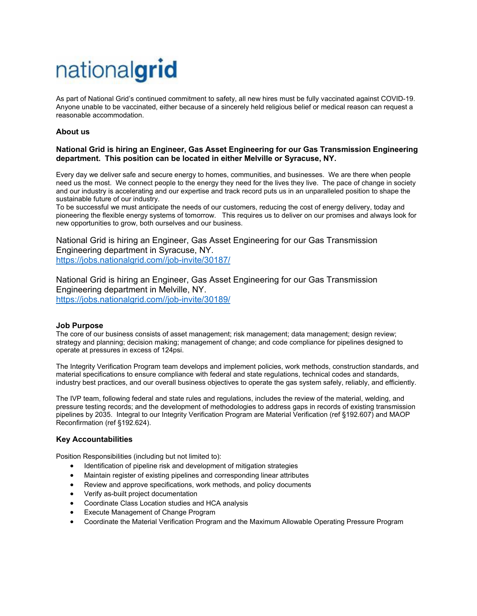# nationalgrid

As part of National Grid's continued commitment to safety, all new hires must be fully vaccinated against COVID-19. Anyone unable to be vaccinated, either because of a sincerely held religious belief or medical reason can request a reasonable accommodation.

## **About us**

## **National Grid is hiring an Engineer, Gas Asset Engineering for our Gas Transmission Engineering department. This position can be located in either Melville or Syracuse, NY.**

Every day we deliver safe and secure energy to homes, communities, and businesses. We are there when people need us the most. We connect people to the energy they need for the lives they live. The pace of change in society and our industry is accelerating and our expertise and track record puts us in an unparalleled position to shape the sustainable future of our industry.

To be successful we must anticipate the needs of our customers, reducing the cost of energy delivery, today and pioneering the flexible energy systems of tomorrow. This requires us to deliver on our promises and always look for new opportunities to grow, both ourselves and our business.

National Grid is hiring an Engineer, Gas Asset Engineering for our Gas Transmission Engineering department in Syracuse, NY. https://jobs.nationalgrid.com//job-invite/30187/

National Grid is hiring an Engineer, Gas Asset Engineering for our Gas Transmission Engineering department in Melville, NY. https://jobs.nationalgrid.com//job-invite/30189/

### **Job Purpose**

The core of our business consists of asset management; risk management; data management; design review; strategy and planning; decision making; management of change; and code compliance for pipelines designed to operate at pressures in excess of 124psi.

The Integrity Verification Program team develops and implement policies, work methods, construction standards, and material specifications to ensure compliance with federal and state regulations, technical codes and standards, industry best practices, and our overall business objectives to operate the gas system safely, reliably, and efficiently.

The IVP team, following federal and state rules and regulations, includes the review of the material, welding, and pressure testing records; and the development of methodologies to address gaps in records of existing transmission pipelines by 2035. Integral to our Integrity Verification Program are Material Verification (ref §192.607) and MAOP Reconfirmation (ref §192.624).

### **Key Accountabilities**

Position Responsibilities (including but not limited to):

- Identification of pipeline risk and development of mitigation strategies
- Maintain register of existing pipelines and corresponding linear attributes
- Review and approve specifications, work methods, and policy documents
- Verify as-built project documentation
- Coordinate Class Location studies and HCA analysis
- Execute Management of Change Program
- Coordinate the Material Verification Program and the Maximum Allowable Operating Pressure Program